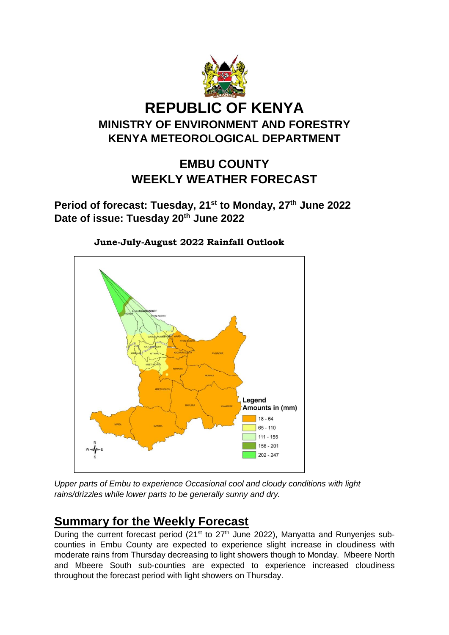

# **REPUBLIC OF KENYA MINISTRY OF ENVIRONMENT AND FORESTRY KENYA METEOROLOGICAL DEPARTMENT**

## **EMBU COUNTY WEEKLY WEATHER FORECAST**

**Period of forecast: Tuesday, 21st to Monday, 27th June 2022 Date of issue: Tuesday 20th June 2022**



 **June-July-August 2022 Rainfall Outlook**

*Upper parts of Embu to experience Occasional cool and cloudy conditions with light rains/drizzles while lower parts to be generally sunny and dry.* 

## **Summary for the Weekly Forecast**

During the current forecast period  $(21^{st}$  to  $27^{th}$  June 2022), Manyatta and Runyenjes subcounties in Embu County are expected to experience slight increase in cloudiness with moderate rains from Thursday decreasing to light showers though to Monday. Mbeere North and Mbeere South sub-counties are expected to experience increased cloudiness throughout the forecast period with light showers on Thursday.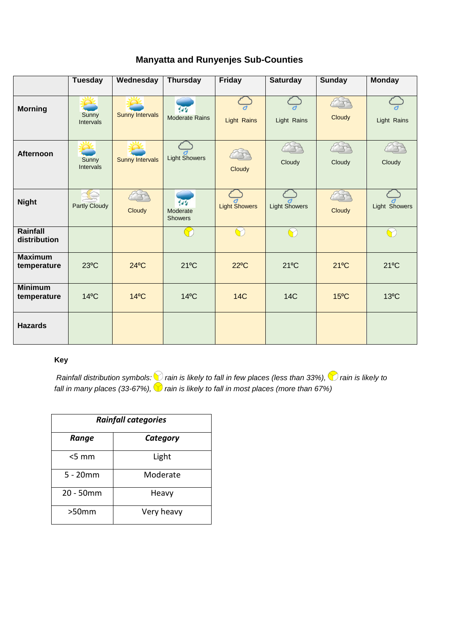|                               | <b>Tuesday</b>       | Wednesday              | <b>Thursday</b>                         | <b>Friday</b>        | <b>Saturday</b>      | <b>Sunday</b>  | <b>Monday</b>  |
|-------------------------------|----------------------|------------------------|-----------------------------------------|----------------------|----------------------|----------------|----------------|
| <b>Morning</b>                | Sunny<br>Intervals   | <b>Sunny Intervals</b> | $\frac{d}{dx}$<br><b>Moderate Rains</b> | <b>Light Rains</b>   | Light Rains          | Cloudy         | Light Rains    |
| <b>Afternoon</b>              | Sunny<br>Intervals   | <b>Sunny Intervals</b> | <b>Light Showers</b>                    | Cloudy               | Cloudy               | Cloudy         | Cloudy         |
| <b>Night</b>                  | <b>Partly Cloudy</b> | Cloudy                 | 44<br>Moderate<br><b>Showers</b>        | <b>Light Showers</b> | <b>Light Showers</b> | Cloudy         | Light Showers  |
| Rainfall<br>distribution      |                      |                        |                                         |                      | $\blacktriangledown$ |                | $\bigcap$      |
| <b>Maximum</b><br>temperature | $23^{\circ}$ C       | $24^{\circ}$ C         | $21^{\circ}$ C                          | $22^{\circ}$ C       | $21^{\circ}$ C       | $21^{\circ}$ C | $21^{\circ}$ C |
| <b>Minimum</b><br>temperature | $14^{\circ}$ C       | $14^{\circ}$ C         | $14^{\circ}$ C                          | <b>14C</b>           | <b>14C</b>           | $15^{\circ}$ C | $13^{\circ}$ C |
| <b>Hazards</b>                |                      |                        |                                         |                      |                      |                |                |

### **Manyatta and Runyenjes Sub-Counties**

#### **Key**

*Rainfall distribution symbols: inain is likely to fall in few places (less than 33%), inain is likely to fall in many places (33-67%),*  $\blacktriangledown$  *rain is likely to fall in most places (more than 67%)* 

| <b>Rainfall categories</b> |            |  |  |
|----------------------------|------------|--|--|
| Range                      | Category   |  |  |
| $< 5 \text{ mm}$           | Light      |  |  |
| $5 - 20$ mm                | Moderate   |  |  |
| 20 - 50mm                  | Heavy      |  |  |
| >50mm                      | Very heavy |  |  |